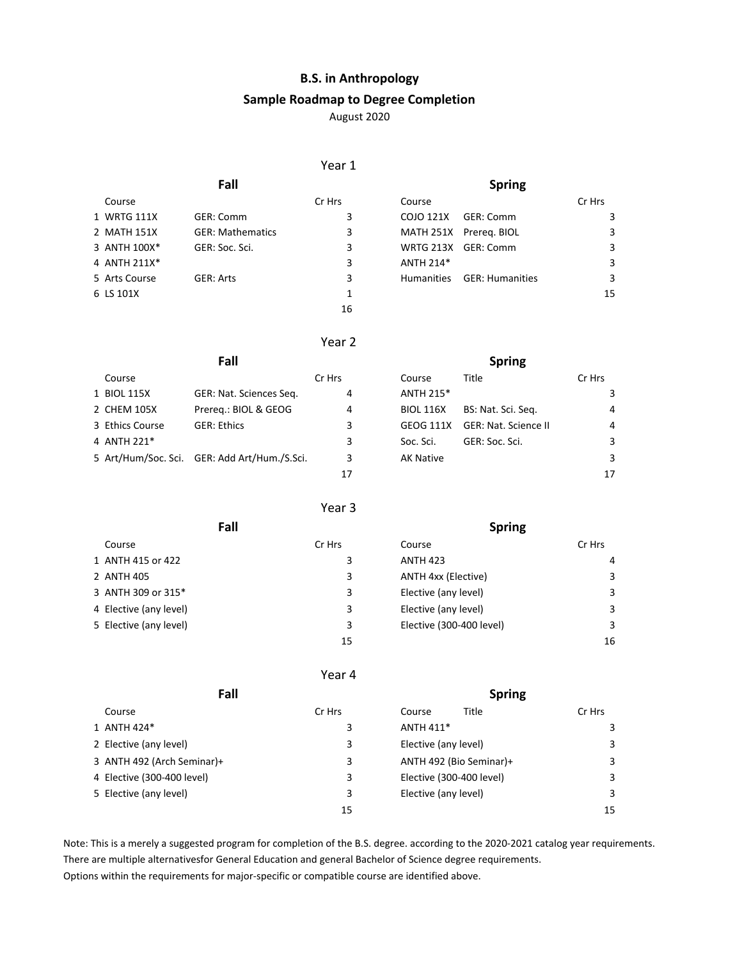# **B.S. in Anthropology**

#### **Sample Roadmap to Degree Completion**

August 2020

### Year 1

| Fall                    |        |                   | <b>Spring</b> |                                                                         |
|-------------------------|--------|-------------------|---------------|-------------------------------------------------------------------------|
|                         | Cr Hrs | Course            |               | Cr Hrs                                                                  |
| GER: Comm               | 3      | COJO 121X         | GER: Comm     |                                                                         |
| <b>GER: Mathematics</b> | 3      |                   |               | 3                                                                       |
| GER: Soc. Sci.          | 3      |                   |               | 3                                                                       |
|                         | 3      | ANTH 214*         |               | 3                                                                       |
| GER: Arts               | 3      | <b>Humanities</b> |               | 3                                                                       |
|                         | 1      |                   |               | 15                                                                      |
|                         | 16     |                   |               |                                                                         |
|                         |        |                   |               | MATH 251X Prereg. BIOL<br>WRTG 213X GER: Comm<br><b>GER: Humanities</b> |

# Year 2

|                 | Fall                                         |        |                  | <b>Spring</b>               |                |
|-----------------|----------------------------------------------|--------|------------------|-----------------------------|----------------|
| Course          |                                              | Cr Hrs | Course           | Title                       | Cr Hrs         |
| 1 BIOL 115X     | GER: Nat. Sciences Seg.                      | 4      | ANTH 215*        |                             | 3              |
| 2 CHEM 105X     | Prereg.: BIOL & GEOG                         | 4      | <b>BIOL 116X</b> | BS: Nat. Sci. Seq.          | 4              |
| 3 Ethics Course | <b>GER: Ethics</b>                           | 3      | GEOG 111X        | <b>GER: Nat. Science II</b> | $\overline{4}$ |
| 4 ANTH 221*     |                                              | 3      | Soc. Sci.        | GER: Soc. Sci.              | 3              |
|                 | 5 Art/Hum/Soc. Sci. GER: Add Art/Hum./S.Sci. | 3      | <b>AK Native</b> |                             | 3              |
|                 |                                              | 17     |                  |                             | 17             |
|                 |                                              |        |                  |                             |                |

## Year 3

| Fall                   |        | <b>Spring</b>              |        |
|------------------------|--------|----------------------------|--------|
| Course                 | Cr Hrs | Course                     | Cr Hrs |
| 1 ANTH 415 or 422      | 3      | <b>ANTH 423</b>            | 4      |
| 2 ANTH 405             | 3      | <b>ANTH 4xx (Elective)</b> | 3      |
| 3 ANTH 309 or 315*     | 3      | Elective (any level)       | 3      |
| 4 Elective (any level) | 3      | Elective (any level)       | 3      |
| 5 Elective (any level) | 3      | Elective (300-400 level)   | 3      |
|                        | 15     |                            | 16     |

### Year 4

| Fall                       |        | <b>Spring</b>            |        |
|----------------------------|--------|--------------------------|--------|
| Course                     | Cr Hrs | Title<br>Course          | Cr Hrs |
| 1 ANTH 424*                | 3      | ANTH 411*                |        |
| 2 Elective (any level)     | 3      | Elective (any level)     | 3      |
| 3 ANTH 492 (Arch Seminar)+ | 3      | ANTH 492 (Bio Seminar)+  | 3      |
| 4 Elective (300-400 level) | 3      | Elective (300-400 level) | 3      |
| 5 Elective (any level)     | 3      | Elective (any level)     | 3      |
|                            | 15     |                          | 15     |

Note: This is a merely a suggested program for completion of the B.S. degree. according to the 2020-2021 catalog year requirements. There are multiple alternativesfor General Education and general Bachelor of Science degree requirements. Options within the requirements for major-specific or compatible course are identified above.